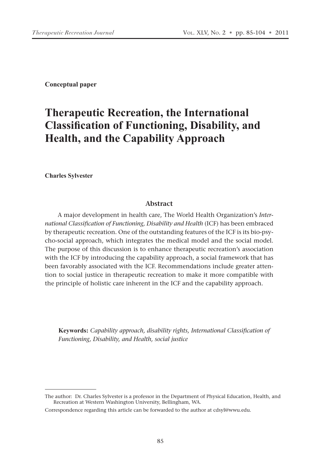**Conceptual paper**

# **Therapeutic Recreation, the International Classification of Functioning, Disability, and Health, and the Capability Approach**

**Charles Sylvester** 

#### **Abstract**

A major development in health care, The World Health Organization's *International Classification of Functioning, Disability and Health* (ICF) has been embraced by therapeutic recreation. One of the outstanding features of the ICF is its bio-psycho-social approach, which integrates the medical model and the social model. The purpose of this discussion is to enhance therapeutic recreation's association with the ICF by introducing the capability approach, a social framework that has been favorably associated with the ICF. Recommendations include greater attention to social justice in therapeutic recreation to make it more compatible with the principle of holistic care inherent in the ICF and the capability approach.

**Keywords:** *Capability approach, disability rights, International Classification of Functioning, Disability, and Health, social justice*

The author: Dr. Charles Sylvester is a professor in the Department of Physical Education, Health, and Recreation at Western Washington University, Bellingham, WA.

Correspondence regarding this article can be forwarded to the author at cdsyl@wwu.edu.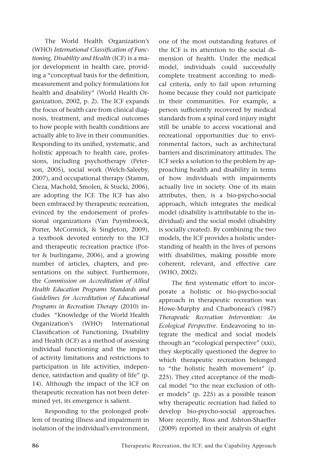The World Health Organization's (WHO) *International Classification of Functioning, Disability and Health* (ICF) is a major development in health care, providing a "conceptual basis for the definition, measurement and policy formulations for health and disability" (World Health Organization, 2002, p. 2). The ICF expands the focus of health care from clinical diagnosis, treatment, and medical outcomes to how people with health conditions are actually able to live in their communities. Responding to its unified, systematic, and holistic approach to health care, professions, including psychotherapy (Peterson, 2005), social work (Welch-Saleeby, 2007), and occupational therapy (Stamm, Cieza, Machold, Smolen, & Stucki, 2006), are adopting the ICF. The ICF has also been embraced by therapeutic recreation, evinced by the endorsement of professional organizations (Van Puymbroeck, Porter, McCormick, & Singleton, 2009), a textbook devoted entirely to the ICF and therapeutic recreation practice (Porter & burlingame, 2006), and a growing number of articles, chapters, and presentations on the subject. Furthermore, the *Commission on Accreditation of Allied Health Education Programs Standards and Guidelines for Accreditation of Educational Programs in Recreation Therapy* (2010) includes "Knowledge of the World Health Organization's (WHO) International Classification of Functioning, Disability and Health (ICF) as a method of assessing individual functioning and the impact of activity limitations and restrictions to participation in life activities, independence, satisfaction and quality of life" (p. 14). Although the impact of the ICF on therapeutic recreation has not been determined yet, its emergence is salient.

Responding to the prolonged problem of treating illness and impairment in isolation of the individual's environment, one of the most outstanding features of the ICF is its attention to the social dimension of health. Under the medical model, individuals could successfully complete treatment according to medical criteria, only to fail upon returning home because they could not participate in their communities. For example, a person sufficiently recovered by medical standards from a spinal cord injury might still be unable to access vocational and recreational opportunities due to environmental factors, such as architectural barriers and discriminatory attitudes. The ICF seeks a solution to the problem by approaching health and disability in terms of how individuals with impairments actually live in society. One of its main attributes, then, is a bio-psycho-social approach, which integrates the medical model (disability is attributable to the individual) and the social model (disability is socially created). By combining the two models, the ICF provides a holistic understanding of health in the lives of persons with disabilities, making possible more coherent, relevant, and effective care (WHO, 2002).

The first systematic effort to incorporate a holistic or bio-psycho-social approach in therapeutic recreation was Howe-Murphy and Charboneau's (1987) *Therapeutic Recreation Intervention: An Ecological Perspective*. Endeavoring to integrate the medical and social models through an "ecological perspective" (xxi), they skeptically questioned the degree to which therapeutic recreation belonged to "the holistic health movement" (p. 225). They cited acceptance of the medical model "to the near exclusion of other models" (p. 225) as a possible reason why therapeutic recreation had failed to develop bio-psycho-social approaches. More recently, Ross and Ashton-Shaeffer (2009) reported in their analysis of eight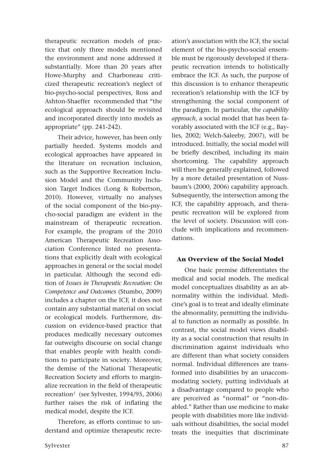therapeutic recreation models of practice that only three models mentioned the environment and none addressed it substantially. More than 20 years after Howe-Murphy and Charboneau criticized therapeutic recreation's neglect of bio-psycho-social perspectives, Ross and Ashton-Shaeffer recommended that "the ecological approach should be revisited and incorporated directly into models as appropriate" (pp. 241-242).

Their advice, however, has been only partially heeded. Systems models and ecological approaches have appeared in the literature on recreation inclusion, such as the Supportive Recreation Inclusion Model and the Community Inclusion Target Indices (Long & Robertson, 2010). However, virtually no analyses of the social component of the bio-psycho-social paradigm are evident in the mainstream of therapeutic recreation. For example, the program of the 2010 American Therapeutic Recreation Association Conference listed no presentations that explicitly dealt with ecological approaches in general or the social model in particular. Although the second edition of *Issues in Therapeutic Recreation: On Competence and Outcomes* (Stumbo, 2009) includes a chapter on the ICF, it does not contain any substantial material on social or ecological models. Furthermore, discussion on evidence-based practice that produces medically necessary outcomes far outweighs discourse on social change that enables people with health conditions to participate in society. Moreover, the demise of the National Therapeutic Recreation Society and efforts to marginalize recreation in the field of therapeutic recreation<sup>1</sup> (see Sylvester, 1994/95, 2006) further raises the risk of inflating the medical model, despite the ICF.

Therefore, as efforts continue to understand and optimize therapeutic recreation's association with the ICF, the social element of the bio-psycho-social ensemble must be rigorously developed if therapeutic recreation intends to holistically embrace the ICF. As such, the purpose of this discussion is to enhance therapeutic recreation's relationship with the ICF by strengthening the social component of the paradigm. In particular, the *capability approach*, a social model that has been favorably associated with the ICF (e.g., Baylies, 2002; Welch-Saleeby, 2007), will be introduced. Initially, the social model will be briefly described, including its main shortcoming. The capability approach will then be generally explained, followed by a more detailed presentation of Nussbaum's (2000, 2006) capability approach. Subsequently, the intersection among the ICF, the capability approach, and therapeutic recreation will be explored from the level of society. Discussion will conclude with implications and recommendations.

### **An Overview of the Social Model**

One basic premise differentiates the medical and social models. The medical model conceptualizes disability as an abnormality within the individual. Medicine's goal is to treat and ideally eliminate the abnormality, permitting the individual to function as normally as possible. In contrast, the social model views disability as a social construction that results in discrimination against individuals who are different than what society considers normal. Individual differences are transformed into disabilities by an unaccommodating society, putting individuals at a disadvantage compared to people who are perceived as "normal" or "non-disabled." Rather than use medicine to make people with disabilities more like individuals without disabilities, the social model treats the inequities that discriminate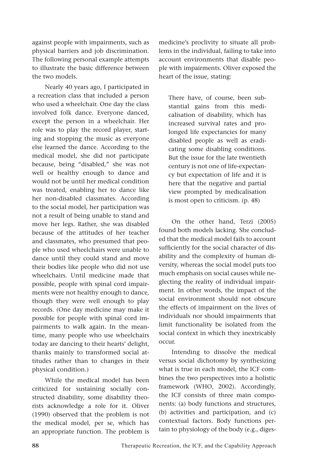against people with impairments, such as physical barriers and job discrimination. The following personal example attempts to illustrate the basic difference between the two models.

Nearly 40 years ago, I participated in a recreation class that included a person who used a wheelchair. One day the class involved folk dance. Everyone danced, except the person in a wheelchair. Her role was to play the record player, starting and stopping the music as everyone else learned the dance. According to the medical model, she did not participate because, being "disabled," she was not well or healthy enough to dance and would not be until her medical condition was treated, enabling her to dance like her non-disabled classmates. According to the social model, her participation was not a result of being unable to stand and move her legs. Rather, she was disabled because of the attitudes of her teacher and classmates, who presumed that people who used wheelchairs were unable to dance until they could stand and move their bodies like people who did not use wheelchairs. Until medicine made that possible, people with spinal cord impairments were not healthy enough to dance, though they were well enough to play records. (One day medicine may make it possible for people with spinal cord impairments to walk again. In the meantime, many people who use wheelchairs today are dancing to their hearts' delight, thanks mainly to transformed social attitudes rather than to changes in their physical condition.)

While the medical model has been criticized for sustaining socially constructed disability, some disability theorists acknowledge a role for it. Oliver (1990) observed that the problem is not the medical model, per se, which has an appropriate function. The problem is medicine's proclivity to situate all problems in the individual, failing to take into account environments that disable people with impairments. Oliver exposed the heart of the issue, stating:

There have, of course, been substantial gains from this medicalisation of disability, which has increased survival rates and prolonged life expectancies for many disabled people as well as eradicating some disabling conditions. But the issue for the late twentieth century is not one of life-expectancy but expectation of life and it is here that the negative and partial view prompted by medicalisation is most open to criticism. (p. 48)

On the other hand, Terzi (2005) found both models lacking. She concluded that the medical model fails to account sufficiently for the social character of disability and the complexity of human diversity, whereas the social model puts too much emphasis on social causes while neglecting the reality of individual impairment. In other words, the impact of the social environment should not obscure the effects of impairment on the lives of individuals nor should impairments that limit functionality be isolated from the social context in which they inextricably occur.

Intending to dissolve the medical versus social dichotomy by synthesizing what is true in each model, the ICF combines the two perspectives into a holistic framework (WHO, 2002). Accordingly, the ICF consists of three main components: (a) body functions and structures, (b) activities and participation, and (c) contextual factors. Body functions pertain to physiology of the body (e.g., diges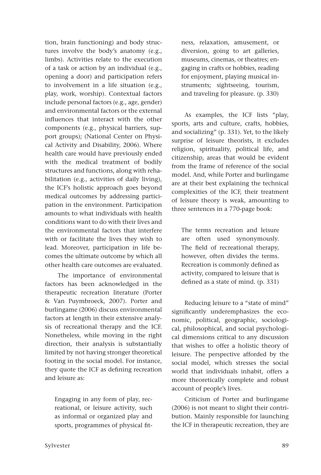tion, brain functioning) and body structures involve the body's anatomy (e.g., limbs). Activities relate to the execution of a task or action by an individual (e.g., opening a door) and participation refers to involvement in a life situation (e.g., play, work, worship). Contextual factors include personal factors (e.g., age, gender) and environmental factors or the external influences that interact with the other components (e.g., physical barriers, support groups); (National Center on Physical Activity and Disability, 2006). Where health care would have previously ended with the medical treatment of bodily structures and functions, along with rehabilitation (e.g., activities of daily living), the ICF's holistic approach goes beyond medical outcomes by addressing participation in the environment. Participation amounts to what individuals with health conditions want to do with their lives and the environmental factors that interfere with or facilitate the lives they wish to lead. Moreover, participation in life becomes the ultimate outcome by which all other health care outcomes are evaluated.

The importance of environmental factors has been acknowledged in the therapeutic recreation literature (Porter & Van Puymbroeck, 2007). Porter and burlingame (2006) discuss environmental factors at length in their extensive analysis of recreational therapy and the ICF. Nonetheless, while moving in the right direction, their analysis is substantially limited by not having stronger theoretical footing in the social model. For instance, they quote the ICF as defining recreation and leisure as:

Engaging in any form of play, recreational, or leisure activity, such as informal or organized play and sports, programmes of physical fit-

ness, relaxation, amusement, or diversion, going to art galleries, museums, cinemas, or theatres; engaging in crafts or hobbies, reading for enjoyment, playing musical instruments; sightseeing, tourism, and traveling for pleasure. (p. 330)

As examples, the ICF lists "play, sports, arts and culture, crafts, hobbies, and socializing" (p. 331). Yet, to the likely surprise of leisure theorists, it excludes religion, spirituality, political life, and citizenship, areas that would be evident from the frame of reference of the social model. And, while Porter and burlingame are at their best explaining the technical complexities of the ICF, their treatment of leisure theory is weak, amounting to three sentences in a 770-page book:

The terms recreation and leisure are often used synonymously. The field of recreational therapy, however, often divides the terms. Recreation is commonly defined as activity, compared to leisure that is defined as a state of mind. (p. 331)

Reducing leisure to a "state of mind" significantly underemphasizes the economic, political, geographic, sociological, philosophical, and social psychological dimensions critical to any discussion that wishes to offer a holistic theory of leisure. The perspective afforded by the social model, which stresses the social world that individuals inhabit, offers a more theoretically complete and robust account of people's lives.

Criticism of Porter and burlingame (2006) is not meant to slight their contribution. Mainly responsible for launching the ICF in therapeutic recreation, they are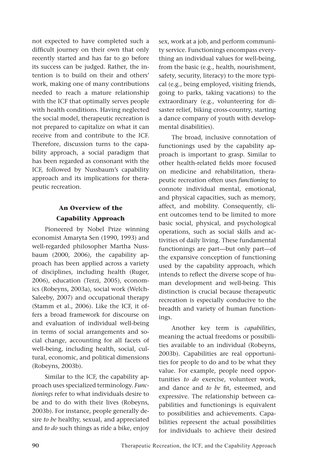not expected to have completed such a difficult journey on their own that only recently started and has far to go before its success can be judged. Rather, the intention is to build on their and others' work, making one of many contributions needed to reach a mature relationship with the ICF that optimally serves people with health conditions. Having neglected the social model, therapeutic recreation is not prepared to capitalize on what it can receive from and contribute to the ICF. Therefore, discussion turns to the capability approach, a social paradigm that has been regarded as consonant with the ICF, followed by Nussbaum's capability approach and its implications for therapeutic recreation.

# **An Overview of the Capability Approach**

Pioneered by Nobel Prize winning economist Amaryta Sen (1990, 1993) and well-regarded philosopher Martha Nussbaum (2000, 2006), the capability approach has been applied across a variety of disciplines, including health (Ruger, 2006), education (Terzi, 2005), economics (Robeyns, 2003a), social work (Welch-Saleeby, 2007) and occupational therapy (Stamm et al., 2006). Like the ICF, it offers a broad framework for discourse on and evaluation of individual well-being in terms of social arrangements and social change, accounting for all facets of well-being, including health, social, cultural, economic, and political dimensions (Robeyns, 2003b).

Similar to the ICF, the capability approach uses specialized terminology. *Functionings* refer to what individuals desire to be and to do with their lives (Robeyns, 2003b). For instance, people generally desire *to be* healthy, sexual, and appreciated and *to do* such things as ride a bike, enjoy sex, work at a job, and perform community service. Functionings encompass everything an individual values for well-being, from the basic (e.g., health, nourishment, safety, security, literacy) to the more typical (e.g., being employed, visiting friends, going to parks, taking vacations) to the extraordinary (e.g., volunteering for disaster relief, biking cross-country, starting a dance company of youth with developmental disabilities).

The broad, inclusive connotation of functionings used by the capability approach is important to grasp. Similar to other health-related fields more focused on medicine and rehabilitation, therapeutic recreation often uses *functioning* to connote individual mental, emotional, and physical capacities, such as memory, affect, and mobility. Consequently, client outcomes tend to be limited to more basic social, physical, and psychological operations, such as social skills and activities of daily living. These fundamental functionings are part—but only part—of the expansive conception of functioning used by the capability approach, which intends to reflect the diverse scope of human development and well-being. This distinction is crucial because therapeutic recreation is especially conducive to the breadth and variety of human functionings.

Another key term is *capabilities*, meaning the actual freedoms or possibilities available to an individual (Robeyns, 2003b). Capabilities are real opportunities for people to do and to be what they value. For example, people need opportunities *to do* exercise, volunteer work, and dance and *to be* fit, esteemed, and expressive. The relationship between capabilities and functionings is equivalent to possibilities and achievements. Capabilities represent the actual possibilities for individuals to achieve their desired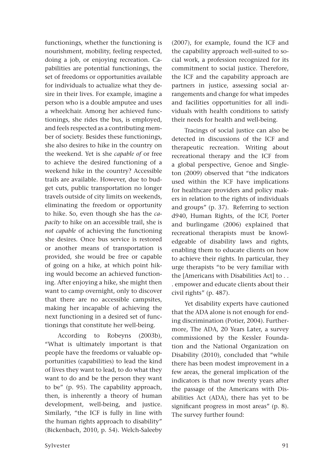functionings, whether the functioning is nourishment, mobility, feeling respected, doing a job, or enjoying recreation. Capabilities are potential functionings, the set of freedoms or opportunities available for individuals to actualize what they desire in their lives. For example, imagine a person who is a double amputee and uses a wheelchair. Among her achieved functionings, she rides the bus, is employed, and feels respected as a contributing member of society. Besides these functionings, she also desires to hike in the country on the weekend. Yet is she *capable of* or free to achieve the desired functioning of a weekend hike in the country? Accessible trails are available. However, due to budget cuts, public transportation no longer travels outside of city limits on weekends, eliminating the freedom or opportunity to hike. So, even though she has the *capacity* to hike on an accessible trail, she is *not capable* of achieving the functioning she desires. Once bus service is restored or another means of transportation is provided, she would be free or capable of going on a hike, at which point hiking would become an achieved functioning. After enjoying a hike, she might then want to camp overnight, only to discover that there are no accessible campsites, making her incapable of achieving the next functioning in a desired set of functionings that constitute her well-being.

According to Robeyns (2003b), "What is ultimately important is that people have the freedoms or valuable opportunities (capabilities) to lead the kind of lives they want to lead, to do what they want to do and be the person they want to be" (p. 95). The capability approach, then, is inherently a theory of human development, well-being, and justice. Similarly, "the ICF is fully in line with the human rights approach to disability" (Bickenbach, 2010, p. 54). Welch-Saleeby

urge therapists "to be very familiar with the [Americans with Disabilities Act] to . . . empower and educate clients about their civil rights" (p. 487).

Yet disability experts have cautioned that the ADA alone is not enough for ending discrimination (Potier, 2004). Furthermore, The ADA, 20 Years Later, a survey commissioned by the Kessler Foundation and the National Organization on Disability (2010), concluded that "while there has been modest improvement in a few areas, the general implication of the indicators is that now twenty years after the passage of the Americans with Disabilities Act (ADA), there has yet to be significant progress in most areas" (p. 8). The survey further found:

(2007), for example, found the ICF and the capability approach well-suited to social work, a profession recognized for its commitment to social justice. Therefore, the ICF and the capability approach are partners in justice, assessing social arrangements and change for what impedes and facilities opportunities for all individuals with health conditions to satisfy their needs for health and well-being.

Tracings of social justice can also be detected in discussions of the ICF and therapeutic recreation. Writing about recreational therapy and the ICF from a global perspective, Genoe and Singleton (2009) observed that "the indicators used within the ICF have implications for healthcare providers and policy makers in relation to the rights of individuals and groups" (p. 37). Referring to section d940, Human Rights, of the ICF, Porter and burlingame (2006) explained that recreational therapists must be knowledgeable of disability laws and rights, enabling them to educate clients on how to achieve their rights. In particular, they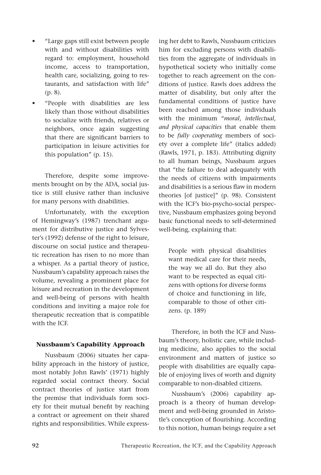- • "Large gaps still exist between people with and without disabilities with regard to: employment, household income, access to transportation, health care, socializing, going to restaurants, and satisfaction with life" (p. 8).
- "People with disabilities are less likely than those without disabilities to socialize with friends, relatives or neighbors, once again suggesting that there are significant barriers to participation in leisure activities for this population" (p. 15).

Therefore, despite some improvements brought on by the ADA, social justice is still elusive rather than inclusive for many persons with disabilities.

Unfortunately, with the exception of Hemingway's (1987) trenchant argument for distributive justice and Sylvester's (1992) defense of the right to leisure, discourse on social justice and therapeutic recreation has risen to no more than a whisper. As a partial theory of justice, Nussbaum's capability approach raises the volume, revealing a prominent place for leisure and recreation in the development and well-being of persons with health conditions and inviting a major role for therapeutic recreation that is compatible with the ICF.

### **Nussbaum's Capability Approach**

Nussbaum (2006) situates her capability approach in the history of justice, most notably John Rawls' (1971) highly regarded social contract theory. Social contract theories of justice start from the premise that individuals form society for their mutual benefit by reaching a contract or agreement on their shared rights and responsibilities. While expressing her debt to Rawls, Nussbaum criticizes him for excluding persons with disabilities from the aggregate of individuals in hypothetical society who initially come together to reach agreement on the conditions of justice. Rawls does address the matter of disability, but only after the fundamental conditions of justice have been reached among those individuals with the minimum "*moral*, *intellectual, and physical capacities* that enable them to be *fully cooperating* members of society over a complete life" (italics added) (Rawls, 1971, p. 183). Attributing dignity to all human beings, Nussbaum argues that "the failure to deal adequately with the needs of citizens with impairments and disabilities is a serious flaw in modern theories [of justice]" (p. 98). Consistent with the ICF's bio-psycho-social perspective, Nussbaum emphasizes going beyond basic functional needs to self-determined well-being, explaining that:

People with physical disabilities want medical care for their needs, the way we all do. But they also want to be respected as equal citizens with options for diverse forms of choice and functioning in life, comparable to those of other citizens. (p. 189)

Therefore, in both the ICF and Nussbaum's theory, holistic care, while including medicine, also applies to the social environment and matters of justice so people with disabilities are equally capable of enjoying lives of worth and dignity comparable to non-disabled citizens.

Nussbaum's (2006) capability approach is a theory of human development and well-being grounded in Aristotle's conception of flourishing. According to this notion, human beings require a set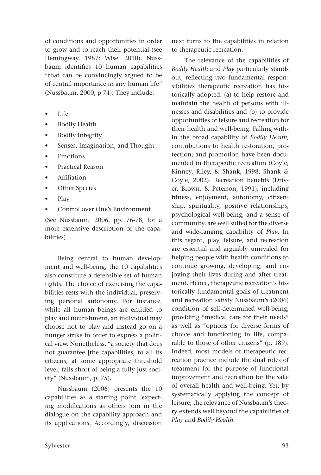of conditions and opportunities in order to grow and to reach their potential (see Hemingway, 1987; Wise, 2010). Nussbaum identifies 10 human capabilities "that can be convincingly argued to be of central importance in any human life" (Nussbaum, 2000, p.74). They include:

- Life
- • Bodily Health
- **Bodily Integrity**
- Senses, Imagination, and Thought
- **Emotions**
- Practical Reason
- **Affiliation**
- Other Species
- Play
- Control over One's Environment

(See Nussbaum, 2006, pp. 76-78, for a more extensive description of the capabilities)

Being central to human development and well-being, the 10 capabilities also constitute a defensible set of human rights. The choice of exercising the capabilities rests with the individual, preserving personal autonomy. For instance, while all human beings are entitled to play and nourishment, an individual may choose not to play and instead go on a hunger strike in order to express a political view. Nonetheless, "a society that does not guarantee [the capabilities] to all its citizens, at some appropriate threshold level, falls short of being a fully just society" (Nussbaum, p. 75).

Nussbaum (2006) presents the 10 capabilities as a starting point, expecting modifications as others join in the dialogue on the capability approach and its applications. Accordingly, discussion next turns to the capabilities in relation to therapeutic recreation.

The relevance of the capabilities of *Bodily Health* and *Play* particularly stands out, reflecting two fundamental responsibilities therapeutic recreation has historically adopted: (a) to help restore and maintain the health of persons with illnesses and disabilities and (b) to provide opportunities of leisure and recreation for their health and well-being. Falling within the broad capability of *Bodily Health,*  contributions to health restoration, protection, and promotion have been documented in therapeutic recreation (Coyle, Kinney, Riley, & Shank, 1998; Shank & Coyle, 2002). Recreation benefits (Driver, Brown, & Peterson, 1991), including fitness, enjoyment, autonomy, citizenship, spirituality, positive relationships, psychological well-being, and a sense of community, are well suited for the diverse and wide-ranging capability of *Play*. In this regard, play, leisure, and recreation are essential and arguably unrivaled for helping people with health conditions to continue growing, developing, and enjoying their lives during and after treatment. Hence, therapeutic recreation's historically fundamental goals of treatment and recreation satisfy Nussbaum's (2006) condition of self-determined well-being, providing "medical care for their needs" as well as "options for diverse forms of choice and functioning in life, comparable to those of other citizens" (p. 189). Indeed, most models of therapeutic recreation practice include the dual roles of treatment for the purpose of functional improvement and recreation for the sake of overall health and well-being. Yet, by systematically applying the concept of leisure, the relevance of Nussbaum's theory extends well beyond the capabilities of *Play* and *Bodily Health*.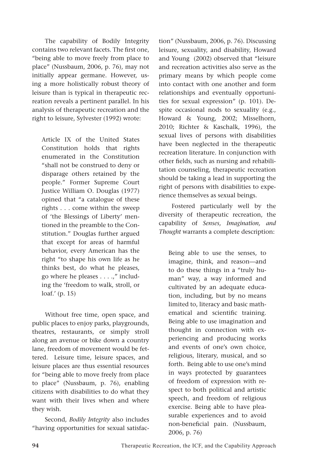The capability of Bodily Integrity contains two relevant facets. The first one, "being able to move freely from place to place" (Nussbaum, 2006, p. 76), may not initially appear germane. However, using a more holistically robust theory of leisure than is typical in therapeutic recreation reveals a pertinent parallel. In his analysis of therapeutic recreation and the right to leisure, Sylvester (1992) wrote:

Article IX of the United States Constitution holds that rights enumerated in the Constitution "shall not be construed to deny or disparage others retained by the people." Former Supreme Court Justice William O. Douglas (1977) opined that "a catalogue of these rights . . . come within the sweep of 'the Blessings of Liberty' mentioned in the preamble to the Constitution." Douglas further argued that except for areas of harmful behavior, every American has the right "to shape his own life as he thinks best, do what he pleases, go where he pleases . . . .," including the 'freedom to walk, stroll, or loaf.' (p. 15)

Without free time, open space, and public places to enjoy parks, playgrounds, theatres, restaurants, or simply stroll along an avenue or bike down a country lane, freedom of movement would be fettered. Leisure time, leisure spaces, and leisure places are thus essential resources for "being able to move freely from place to place" (Nussbaum, p. 76), enabling citizens with disabilities to do what they want with their lives when and where they wish.

Second, *Bodily Integrity* also includes "having opportunities for sexual satisfaction" (Nussbaum, 2006, p. 76). Discussing leisure, sexuality, and disability, Howard and Young (2002) observed that "leisure and recreation activities also serve as the primary means by which people come into contact with one another and form relationships and eventually opportunities for sexual expression" (p. 101). Despite occasional nods to sexuality (e.g., Howard & Young, 2002; Misselhorn, 2010; Richter & Kaschalk, 1996), the sexual lives of persons with disabilities have been neglected in the therapeutic recreation literature. In conjunction with other fields, such as nursing and rehabilitation counseling, therapeutic recreation should be taking a lead in supporting the right of persons with disabilities to experience themselves as sexual beings.

Fostered particularly well by the diversity of therapeutic recreation, the capability of *Senses, Imagination, and Thought* warrants a complete description:

Being able to use the senses, to imagine, think, and reason—and to do these things in a "truly human" way, a way informed and cultivated by an adequate education, including, but by no means limited to, literacy and basic mathematical and scientific training. Being able to use imagination and thought in connection with experiencing and producing works and events of one's own choice, religious, literary, musical, and so forth. Being able to use one's mind in ways protected by guarantees of freedom of expression with respect to both political and artistic speech, and freedom of religious exercise. Being able to have pleasurable experiences and to avoid non-beneficial pain. (Nussbaum, 2006, p. 76)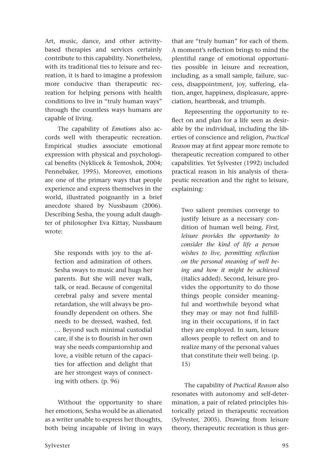Art, music, dance, and other activitybased therapies and services certainly contribute to this capability. Nonetheless, with its traditional ties to leisure and recreation, it is hard to imagine a profession more conducive than therapeutic recreation for helping persons with health conditions to live in "truly human ways" through the countless ways humans are capable of living.

The capability of *Emotions* also accords well with therapeutic recreation. Empirical studies associate emotional expression with physical and psychological benefits (Nyklicek & Temoshok, 2004; Pennebaker, 1995). Moreover, emotions are one of the primary ways that people experience and express themselves in the world, illustrated poignantly in a brief anecdote shared by Nussbaum (2006). Describing Sesha, the young adult daughter of philosopher Eva Kittay, Nussbaum wrote:

She responds with joy to the affection and admiration of others. Sesha sways to music and hugs her parents. But she will never walk, talk, or read. Because of congenital cerebral palsy and severe mental retardation, she will always be profoundly dependent on others. She needs to be dressed, washed, fed. … Beyond such minimal custodial care, if she is to flourish in her own way she needs companionship and love, a visible return of the capacities for affection and delight that are her strongest ways of connecting with others. (p. 96)

Without the opportunity to share her emotions, Sesha would be as alienated as a writer unable to express her thoughts, both being incapable of living in ways

Sylvester 95

that are "truly human" for each of them. A moment's reflection brings to mind the plentiful range of emotional opportunities possible in leisure and recreation, including, as a small sample, failure, success, disappointment, joy, suffering, elation, anger, happiness, displeasure, appreciation, heartbreak, and triumph.

Representing the opportunity to reflect on and plan for a life seen as desirable by the individual, including the liberties of conscience and religion, *Practical Reason* may at first appear more remote to therapeutic recreation compared to other capabilities. Yet Sylvester (1992) included practical reason in his analysis of therapeutic recreation and the right to leisure, explaining:

Two salient premises converge to justify leisure as a necessary condition of human well being. *First, leisure provides the opportunity to consider the kind of life a person wishes to live, permitting reflection on the personal meaning of well being and how it might be achieved*  (italics added). Second, leisure provides the opportunity to do those things people consider meaningful and worthwhile beyond what they may or may not find fulfilling in their occupations, if in fact they are employed. In sum, leisure allows people to reflect on and to realize many of the personal values that constitute their well being. (p. 15)

The capability of *Practical Reason* also resonates with autonomy and self-determination, a pair of related principles historically prized in therapeutic recreation (Sylvester, 2005). Drawing from leisure theory, therapeutic recreation is thus ger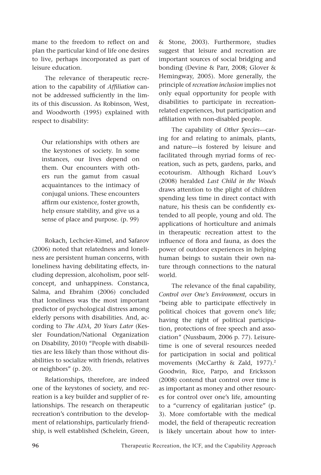mane to the freedom to reflect on and plan the particular kind of life one desires to live, perhaps incorporated as part of leisure education.

The relevance of therapeutic recreation to the capability of *Affiliation* cannot be addressed sufficiently in the limits of this discussion. As Robinson, West, and Woodworth (1995) explained with respect to disability:

Our relationships with others are the keystones of society. In some instances, our lives depend on them. Our encounters with others run the gamut from casual acquaintances to the intimacy of conjugal unions. These encounters affirm our existence, foster growth, help ensure stability, and give us a sense of place and purpose. (p. 99)

Rokach, Lechcier-Kimel, and Safarov (2006) noted that relatedness and loneliness are persistent human concerns, with loneliness having debilitating effects, including depression, alcoholism, poor selfconcept, and unhappiness. Constanca, Salma, and Ebrahim (2006) concluded that loneliness was the most important predictor of psychological distress among elderly persons with disabilities. And, according to *The ADA, 20 Years Later* (Kessler Foundation/National Organization on Disability, 2010) "People with disabilities are less likely than those without disabilities to socialize with friends, relatives or neighbors" (p. 20).

Relationships, therefore, are indeed one of the keystones of society, and recreation is a key builder and supplier of relationships. The research on therapeutic recreation's contribution to the development of relationships, particularly friendship, is well established (Schelein, Green, & Stone, 2003). Furthermore, studies suggest that leisure and recreation are important sources of social bridging and bonding (Devine & Parr, 2008; Glover & Hemingway, 2005). More generally, the principle of *recreation inclusion* implies not only equal opportunity for people with disabilities to participate in recreationrelated experiences, but participation and affiliation with non-disabled people.

The capability of *Other Species*—caring for and relating to animals, plants, and nature—is fostered by leisure and facilitated through myriad forms of recreation, such as pets, gardens, parks, and ecotourism. Although Richard Louv's (2008) heralded *Last Child in the Woods*  draws attention to the plight of children spending less time in direct contact with nature, his thesis can be confidently extended to all people, young and old. The applications of horticulture and animals in therapeutic recreation attest to the influence of flora and fauna, as does the power of outdoor experiences in helping human beings to sustain their own nature through connections to the natural world.

The relevance of the final capability, *Control over One's Environment*, occurs in "being able to participate effectively in political choices that govern one's life; having the right of political participation, protections of free speech and association" (Nussbaum, 2006 p. 77). Leisuretime is one of several resources needed for participation in social and political movements (McCarthy & Zald, 1977).<sup>2</sup> Goodwin, Rice, Parpo, and Ericksson (2008) contend that control over time is as important as money and other resources for control over one's life, amounting to a "currency of egalitarian justice" (p. 3). More comfortable with the medical model, the field of therapeutic recreation is likely uncertain about how to inter-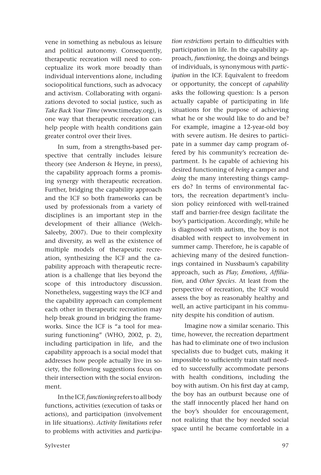vene in something as nebulous as leisure and political autonomy. Consequently, therapeutic recreation will need to conceptualize its work more broadly than individual interventions alone, including sociopolitical functions, such as advocacy and activism. Collaborating with organizations devoted to social justice, such as *Take Back Your Time* (www.timeday.org), is one way that therapeutic recreation can help people with health conditions gain greater control over their lives.

In sum, from a strengths-based perspective that centrally includes leisure theory (see Anderson & Heyne, in press), the capability approach forms a promising synergy with therapeutic recreation. Further, bridging the capability approach and the ICF so both frameworks can be used by professionals from a variety of disciplines is an important step in the development of their alliance (Welch-Saleeby, 2007). Due to their complexity and diversity, as well as the existence of multiple models of therapeutic recreation, synthesizing the ICF and the capability approach with therapeutic recreation is a challenge that lies beyond the scope of this introductory discussion. Nonetheless, suggesting ways the ICF and the capability approach can complement each other in therapeutic recreation may help break ground in bridging the frameworks. Since the ICF is "a tool for measuring functioning" (WHO, 2002, p. 2), including participation in life, and the capability approach is a social model that addresses how people actually live in society, the following suggestions focus on their intersection with the social environment.

In the ICF, *functioning* refers to all body functions, activities (execution of tasks or actions), and participation (involvement in life situations). *Activity limitations* refer to problems with activities and *participa-* *tion restrictions* pertain to difficulties with participation in life. In the capability approach, *functioning*, the doings and beings of individuals, is synonymous with *participation* in the ICF. Equivalent to freedom or opportunity, the concept of *capability* asks the following question: Is a person actually capable of participating in life situations for the purpose of achieving what he or she would like to do and be? For example, imagine a 12-year-old boy with severe autism. He desires to participate in a summer day camp program offered by his community's recreation department. Is he capable of achieving his desired functioning of *being* a camper and *doing* the many interesting things campers do? In terms of environmental factors, the recreation department's inclusion policy reinforced with well-trained staff and barrier-free design facilitate the boy's participation. Accordingly, while he is diagnosed with autism, the boy is not disabled with respect to involvement in summer camp. Therefore, he is capable of achieving many of the desired functionings contained in Nussbaum's capability approach, such as *Play, Emotions, Affiliation*, and *Other Species*. At least from the perspective of recreation, the ICF would assess the boy as reasonably healthy and well, an active participant in his community despite his condition of autism.

Imagine now a similar scenario. This time, however, the recreation department has had to eliminate one of two inclusion specialists due to budget cuts, making it impossible to sufficiently train staff needed to successfully accommodate persons with health conditions, including the boy with autism. On his first day at camp, the boy has an outburst because one of the staff innocently placed her hand on the boy's shoulder for encouragement, not realizing that the boy needed social space until he became comfortable in a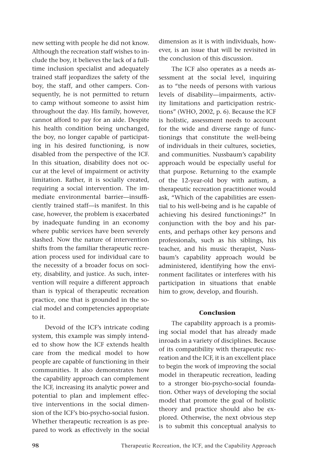new setting with people he did not know. Although the recreation staff wishes to include the boy, it believes the lack of a fulltime inclusion specialist and adequately trained staff jeopardizes the safety of the boy, the staff, and other campers. Consequently, he is not permitted to return to camp without someone to assist him throughout the day. His family, however, cannot afford to pay for an aide. Despite his health condition being unchanged, the boy, no longer capable of participating in his desired functioning, is now disabled from the perspective of the ICF. In this situation, disability does not occur at the level of impairment or activity limitation. Rather, it is socially created, requiring a social intervention. The immediate environmental barrier—insufficiently trained staff—is manifest. In this case, however, the problem is exacerbated by inadequate funding in an economy where public services have been severely slashed. Now the nature of intervention shifts from the familiar therapeutic recreation process used for individual care to the necessity of a broader focus on society, disability, and justice. As such, intervention will require a different approach than is typical of therapeutic recreation practice, one that is grounded in the social model and competencies appropriate to it.

Devoid of the ICF's intricate coding system, this example was simply intended to show how the ICF extends health care from the medical model to how people are capable of functioning in their communities. It also demonstrates how the capability approach can complement the ICF, increasing its analytic power and potential to plan and implement effective interventions in the social dimension of the ICF's bio-psycho-social fusion. Whether therapeutic recreation is as prepared to work as effectively in the social dimension as it is with individuals, however, is an issue that will be revisited in the conclusion of this discussion.

The ICF also operates as a needs assessment at the social level, inquiring as to "the needs of persons with various levels of disability—impairments, activity limitations and participation restrictions" (WHO, 2002, p. 6). Because the ICF is holistic, assessment needs to account for the wide and diverse range of functionings that constitute the well-being of individuals in their cultures, societies, and communities. Nussbaum's capability approach would be especially useful for that purpose. Returning to the example of the 12-year-old boy with autism, a therapeutic recreation practitioner would ask, "Which of the capabilities are essential to his well-being and is he capable of achieving his desired functionings?" In conjunction with the boy and his parents, and perhaps other key persons and professionals, such as his siblings, his teacher, and his music therapist, Nussbaum's capability approach would be administered, identifying how the environment facilitates or interferes with his participation in situations that enable him to grow, develop, and flourish.

#### **Conclusion**

The capability approach is a promising social model that has already made inroads in a variety of disciplines. Because of its compatibility with therapeutic recreation and the ICF, it is an excellent place to begin the work of improving the social model in therapeutic recreation, leading to a stronger bio-psycho-social foundation. Other ways of developing the social model that promote the goal of holistic theory and practice should also be explored. Otherwise, the next obvious step is to submit this conceptual analysis to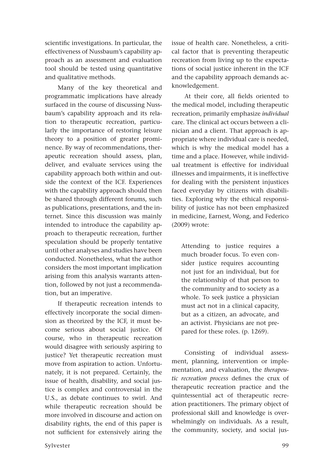scientific investigations. In particular, the effectiveness of Nussbaum's capability approach as an assessment and evaluation tool should be tested using quantitative and qualitative methods.

Many of the key theoretical and programmatic implications have already surfaced in the course of discussing Nussbaum's capability approach and its relation to therapeutic recreation, particularly the importance of restoring leisure theory to a position of greater prominence. By way of recommendations, therapeutic recreation should assess, plan, deliver, and evaluate services using the capability approach both within and outside the context of the ICF. Experiences with the capability approach should then be shared through different forums, such as publications, presentations, and the internet. Since this discussion was mainly intended to introduce the capability approach to therapeutic recreation, further speculation should be properly tentative until other analyses and studies have been conducted. Nonetheless, what the author considers the most important implication arising from this analysis warrants attention, followed by not just a recommendation, but an imperative.

If therapeutic recreation intends to effectively incorporate the social dimension as theorized by the ICF, it must become serious about social justice. Of course, who in therapeutic recreation would disagree with seriously aspiring to justice? Yet therapeutic recreation must move from aspiration to action. Unfortunately, it is not prepared. Certainly, the issue of health, disability, and social justice is complex and controversial in the U.S., as debate continues to swirl. And while therapeutic recreation should be more involved in discourse and action on disability rights, the end of this paper is not sufficient for extensively airing the issue of health care. Nonetheless, a critical factor that is preventing therapeutic recreation from living up to the expectations of social justice inherent in the ICF and the capability approach demands acknowledgement.

At their core, all fields oriented to the medical model, including therapeutic recreation, primarily emphasize *individual*  care. The clinical act occurs between a clinician and a client. That approach is appropriate where individual care is needed, which is why the medical model has a time and a place. However, while individual treatment is effective for individual illnesses and impairments, it is ineffective for dealing with the persistent injustices faced everyday by citizens with disabilities. Exploring why the ethical responsibility of justice has not been emphasized in medicine, Earnest, Wong, and Federico (2009) wrote:

Attending to justice requires a much broader focus. To even consider justice requires accounting not just for an individual, but for the relationship of that person to the community and to society as a whole. To seek justice a physician must act not in a clinical capacity, but as a citizen, an advocate, and an activist. Physicians are not prepared for these roles. (p. 1269).

Consisting of individual assessment, planning, intervention or implementation, and evaluation, the *therapeutic recreation process* defines the crux of therapeutic recreation practice and the quintessential act of therapeutic recreation practitioners. The primary object of professional skill and knowledge is overwhelmingly on individuals. As a result, the community, society, and social jus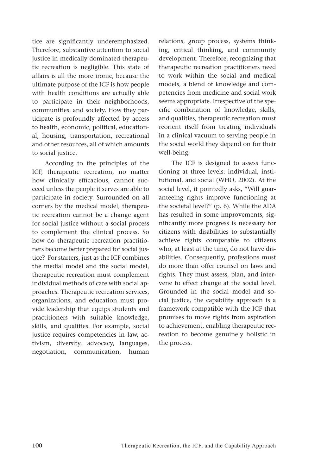tice are significantly underemphasized. Therefore, substantive attention to social justice in medically dominated therapeutic recreation is negligible. This state of affairs is all the more ironic, because the ultimate purpose of the ICF is how people with health conditions are actually able to participate in their neighborhoods, communities, and society. How they participate is profoundly affected by access to health, economic, political, educational, housing, transportation, recreational and other resources, all of which amounts to social justice.

According to the principles of the ICF, therapeutic recreation, no matter how clinically efficacious, cannot succeed unless the people it serves are able to participate in society. Surrounded on all corners by the medical model, therapeutic recreation cannot be a change agent for social justice without a social process to complement the clinical process. So how do therapeutic recreation practitioners become better prepared for social justice? For starters, just as the ICF combines the medial model and the social model, therapeutic recreation must complement individual methods of care with social approaches. Therapeutic recreation services, organizations, and education must provide leadership that equips students and practitioners with suitable knowledge, skills, and qualities. For example, social justice requires competencies in law, activism, diversity, advocacy, languages, negotiation, communication, human relations, group process, systems thinking, critical thinking, and community development. Therefore, recognizing that therapeutic recreation practitioners need to work within the social and medical models, a blend of knowledge and competencies from medicine and social work seems appropriate. Irrespective of the specific combination of knowledge, skills, and qualities, therapeutic recreation must reorient itself from treating individuals in a clinical vacuum to serving people in the social world they depend on for their well-being.

The ICF is designed to assess functioning at three levels: individual, institutional, and social (WHO, 2002). At the social level, it pointedly asks, "Will guaranteeing rights improve functioning at the societal level?" (p. 6). While the ADA has resulted in some improvements, significantly more progress is necessary for citizens with disabilities to substantially achieve rights comparable to citizens who, at least at the time, do not have disabilities. Consequently, professions must do more than offer counsel on laws and rights. They must assess, plan, and intervene to effect change at the social level. Grounded in the social model and social justice, the capability approach is a framework compatible with the ICF that promises to move rights from aspiration to achievement, enabling therapeutic recreation to become genuinely holistic in the process.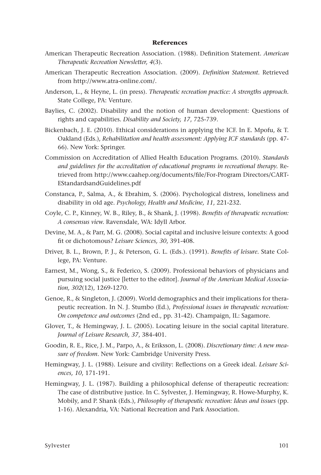#### **References**

- American Therapeutic Recreation Association. (1988). Definition Statement. *American Therapeutic Recreation Newsletter, 4*(3).
- American Therapeutic Recreation Association. (2009). *Definition Statement.* Retrieved from http://www.atra-online.com/.
- Anderson, L., & Heyne, L. (in press). *Therapeutic recreation practice: A strengths approach.* State College, PA: Venture.
- Baylies, C. (2002). Disability and the notion of human development: Questions of rights and capabilities. *Disability and Society, 17*, 725-739.
- Bickenbach, J. E. (2010). Ethical considerations in applying the ICF. In E. Mpofu, & T. Oakland (Eds.), *Rehabilitation and health assessment: Applying ICF standards* (pp. 47- 66). New York: Springer.
- Commission on Accreditation of Allied Health Education Programs. (2010). *Standards and guidelines for the accreditation of educational programs in recreational therapy.* Retrieved from http://www.caahep.org/documents/file/For-Program Directors/CART-EStandardsandGuidelines.pdf
- Constanca, P., Salma, A., & Ebrahim, S. (2006). Psychological distress, loneliness and disability in old age. *Psychology, Health and Medicine, 11*, 221-232.
- Coyle, C. P., Kinney, W. B., Riley, B., & Shank, J. (1998). *Benefits of therapeutic recreation: A consensus view.* Ravensdale, WA: Idyll Arbor.
- Devine, M. A., & Parr, M. G. (2008). Social capital and inclusive leisure contexts: A good fit or dichotomous? *Leisure Sciences, 30*, 391-408.
- Driver, B. L., Brown, P. J., & Peterson, G. L. (Eds.). (1991). *Benefits of leisure.* State College, PA: Venture.
- Earnest, M., Wong, S., & Federico, S. (2009). Professional behaviors of physicians and pursuing social justice [letter to the editor]. *Journal of the American Medical Association, 302*(12), 1269-1270.
- Genoe, R., & Singleton, J. (2009). World demographics and their implications for therapeutic recreation. In N. J. Stumbo (Ed.), *Professional issues in therapeutic recreation: On competence and outcomes* (2nd ed., pp. 31-42). Champaign, IL: Sagamore.
- Glover, T., & Hemingway, J. L. (2005). Locating leisure in the social capital literature. *Journal of Leisure Research, 37*, 384-401.
- Goodin, R. E., Rice, J. M., Parpo, A., & Eriksson, L. (2008). *Discretionary time: A new measure of freedom*. New York: Cambridge University Press.
- Hemingway, J. L. (1988). Leisure and civility: Reflections on a Greek ideal. *Leisure Sciences, 10*, 171-191.
- Hemingway, J. L. (1987). Building a philosophical defense of therapeutic recreation: The case of distributive justice. In C. Sylvester, J. Hemingway, R. Howe-Murphy, K. Mobily, and P. Shank (Eds.), *Philosophy of therapeutic recreation: Ideas and issues* (pp. 1-16). Alexandria, VA: National Recreation and Park Association.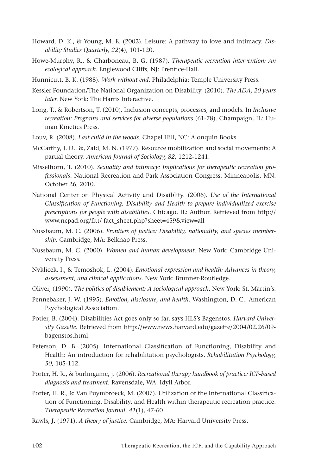- Howard, D. K., & Young, M. E. (2002). Leisure: A pathway to love and intimacy. *Disability Studies Quarterly, 22*(4), 101-120.
- Howe-Murphy, R., & Charboneau, B. G. (1987). *Therapeutic recreation intervention: An ecological approach.* Englewood Cliffs, NJ: Prentice-Hall.
- Hunnicutt, B. K. (1988). *Work without end.* Philadelphia: Temple University Press.
- Kessler Foundation/The National Organization on Disability. (2010). *The ADA, 20 years later.* New York: The Harris Interactive.
- Long, T., & Robertson, T. (2010). Inclusion concepts, processes, and models. In *Inclusive recreation: Programs and services for diverse populations* (61-78). Champaign, IL: Human Kinetics Press.
- Louv, R. (2008). *Last child in the woods.* Chapel Hill, NC: Alonquin Books.
- McCarthy, J. D., &, Zald, M. N. (1977). Resource mobilization and social movements: A partial theory. *American Journal of Sociology, 82*, 1212-1241.
- Misselhorn, T. (2010). *Sexuality and intimacy: Implications for therapeutic recreation professionals.* National Recreation and Park Association Congress. Minneapolis, MN. October 26, 2010.
- National Center on Physical Activity and Disaiblity. (2006). *Use of the International Classification of Functioning, Disability and Health to prepare individualized exercise prescriptions for people with disabilities.* Chicago, IL: Author. Retrieved from http:// www.ncpad.org/fitt/ fact\_sheet.php?sheet=459&view=all
- Nussbaum, M. C. (2006). *Frontiers of justice: Disability, nationality, and species membership.* Cambridge, MA: Belknap Press.
- Nussbaum, M. C. (2000). *Women and human development.* New York: Cambridge University Press.
- Nyklicek, I., & Temoshok, L. (2004). *Emotional expression and health: Advances in theory, assessment, and clinical applications.* New York: Brunner-Routledge.
- Oliver, (1990). *The politics of disablement: A sociological approach.* New York: St. Martin's.
- Pennebaker, J. W. (1995). *Emotion, disclosure, and health.* Washington, D. C.: American Psychological Association.
- Potier, B. (2004). Disabilities Act goes only so far, says HLS's Bagenstos. *Harvard University Gazette.* Retrieved from http://www.news.harvard.edu/gazette/2004/02.26/09 bagenstos.html.
- Peterson, D. B. (2005). International Classification of Functioning, Disability and Health: An introduction for rehabilitation psychologists. *Rehabilitation Psychology, 50,* 105-112.
- Porter, H. R., & burlingame, j. (2006). *Recreational therapy handbook of practice: ICF-based diagnosis and treatment.* Ravensdale, WA: Idyll Arbor.
- Porter, H. R., & Van Puymbroeck, M. (2007). Utilization of the International Classification of Functioning, Disability, and Health within therapeutic recreation practice. *Therapeutic Recreation Journal, 41*(1), 47-60.
- Rawls, J. (1971). *A theory of justice.* Cambridge, MA: Harvard University Press.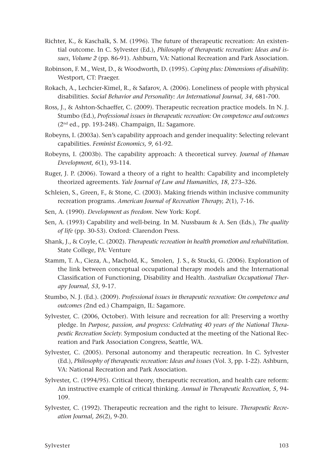- Richter, K., & Kaschalk, S. M. (1996). The future of therapeutic recreation: An existential outcome. In C. Sylvester (Ed.), *Philosophy of therapeutic recreation: Ideas and issues*, *Volume 2* (pp. 86-91). Ashburn, VA: National Recreation and Park Association.
- Robinson, F. M., West, D., & Woodworth, D. (1995). *Coping plus: Dimensions of disability.* Westport, CT: Praeger.
- Rokach, A., Lechcier-Kimel, R., & Safarov, A. (2006). Loneliness of people with physical disabilities. *Social Behavior and Personality: An International Journal, 34*, 681-700.
- Ross, J., & Ashton-Schaeffer, C. (2009). Therapeutic recreation practice models. In N. J. Stumbo (Ed.), *Professional issues in therapeutic recreation: On competence and outcomes* (2nd ed., pp. 193-248). Champaign, IL: Sagamore.
- Robeyns, I. (2003a). Sen's capability approach and gender inequality: Selecting relevant capabilities. *Feminist Economics, 9*, 61-92.
- Robeyns, I. (2003b). The capability approach: A theoretical survey. *Journal of Human Development, 6*(1), 93-114.
- Ruger, J. P. (2006). Toward a theory of a right to health: Capability and incompletely theorized agreements. *Yale Journal of Law and Humanities, 18*, 273–326.
- Schleien, S., Green, F., & Stone, C. (2003). Making friends within inclusive community recreation programs. *American Journal of Recreation Therapy, 2*(1), 7-16.
- Sen, A. (1990). *Development as freedom.* New York: Kopf.
- Sen, A. (1993) Capability and well-being. In M. Nussbaum & A. Sen (Eds.), *The quality of life* (pp. 30-53). Oxford: Clarendon Press.
- Shank, J., & Coyle, C. (2002). *Therapeutic recreation in health promotion and rehabilitation.*  State College, PA: Venture
- Stamm, T. A., Cieza, A., Machold, K., Smolen, J. S., & Stucki, G. (2006). Exploration of the link between conceptual occupational therapy models and the International Classification of Functioning, Disability and Health. *Australian Occupational Therapy Journal, 53*, 9-17.
- Stumbo, N. J. (Ed.). (2009). *Professional issues in therapeutic recreation: On competence and outcomes (*2nd ed.) Champaign, IL: Sagamore.
- Sylvester, C. (2006, October). With leisure and recreation for all: Preserving a worthy pledge. In *Purpose, passion, and progress: Celebrating 40 years of the National Therapeutic Recreation Society.* Symposium conducted at the meeting of the National Recreation and Park Association Congress, Seattle, WA.
- Sylvester, C. (2005). Personal autonomy and therapeutic recreation. In C. Sylvester (Ed.), *Philosophy of therapeutic recreation: Ideas and issues* (Vol. 3, pp. 1-22). Ashburn, VA: National Recreation and Park Association.
- Sylvester, C. (1994/95). Critical theory, therapeutic recreation, and health care reform: An instructive example of critical thinking. *Annual in Therapeutic Recreation, 5*, 94- 109.
- Sylvester, C. (1992). Therapeutic recreation and the right to leisure. *Therapeutic Recreation Journal, 26*(2), 9-20.